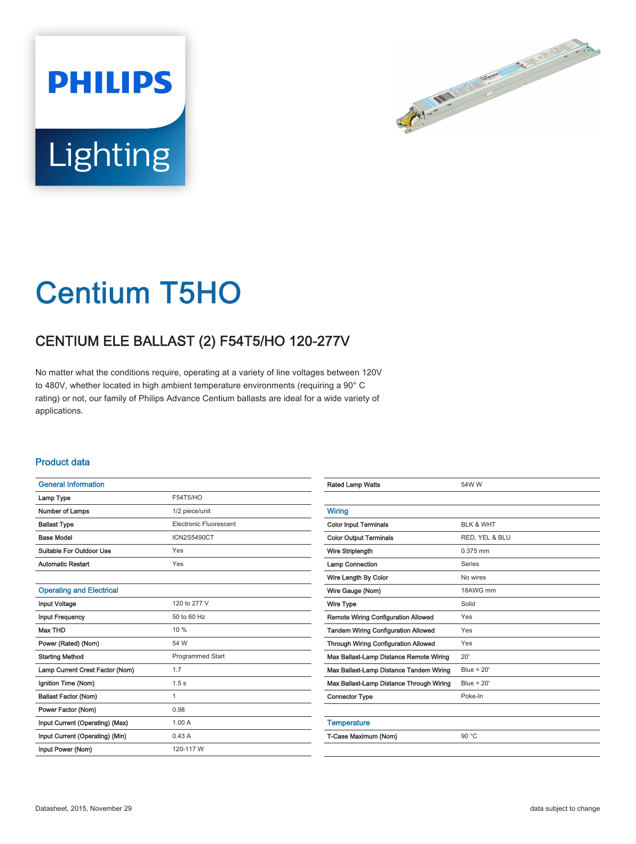



# Centium T5HO

## CENTIUM ELE BALLAST (2) F54T5/HO 120-277V

No matter what the conditions require, operating at a variety of line voltages between 120V to 480V, whether located in high ambient temperature environments (requiring a 90° C rating) or not, our family of Philips Advance Centium ballasts are ideal for a wide variety of applications.

#### Product data

| <b>General Information</b>      |                        |  |  |  |
|---------------------------------|------------------------|--|--|--|
| Lamp Type                       | F54T5/HO               |  |  |  |
| Number of Lamps                 | 1/2 piece/unit         |  |  |  |
| <b>Ballast Type</b>             | Electronic Fluorescent |  |  |  |
| <b>Base Model</b>               | <b>ICN2S5490CT</b>     |  |  |  |
| Suitable For Outdoor Use        | Yes                    |  |  |  |
| <b>Automatic Restart</b>        | Yes                    |  |  |  |
|                                 |                        |  |  |  |
| <b>Operating and Electrical</b> |                        |  |  |  |
| <b>Input Voltage</b>            | 120 to 277 V           |  |  |  |
| <b>Input Frequency</b>          | 50 to 60 Hz            |  |  |  |
| <b>Max THD</b>                  | 10 %                   |  |  |  |
| Power (Rated) (Nom)             | 54 W                   |  |  |  |
| <b>Starting Method</b>          | Programmed Start       |  |  |  |
| Lamp Current Crest Factor (Nom) | 1.7                    |  |  |  |
| Ignition Time (Nom)             | 1.5 <sub>s</sub>       |  |  |  |
| <b>Ballast Factor (Nom)</b>     | 1                      |  |  |  |
| Power Factor (Nom)              | 0.98                   |  |  |  |
| Input Current (Operating) (Max) | 1.00A                  |  |  |  |
| Input Current (Operating) (Min) | 0.43A                  |  |  |  |
| Input Power (Nom)               | 120-117 W              |  |  |  |

| <b>Rated Lamp Watts</b>                     | 54W W                |  |  |
|---------------------------------------------|----------------------|--|--|
|                                             |                      |  |  |
| <b>Wiring</b>                               |                      |  |  |
| <b>Color Input Terminals</b>                | <b>BLK &amp; WHT</b> |  |  |
| <b>Color Output Terminals</b>               | RED, YEL & BLU       |  |  |
| Wire Striplength                            | $0.375$ mm           |  |  |
| Lamp Connection                             | Series               |  |  |
| Wire Length By Color                        | No wires             |  |  |
| Wire Gauge (Nom)                            | 18AWG mm             |  |  |
| Wire Type                                   | Solid                |  |  |
| <b>Remote Wiring Configuration Allowed</b>  | Yes                  |  |  |
| <b>Tandem Wiring Configuration Allowed</b>  | Yes                  |  |  |
| <b>Through Wiring Configuration Allowed</b> | Yes                  |  |  |
| Max Ballast-Lamp Distance Remote Wiring     | 20'                  |  |  |
| Max Ballast-Lamp Distance Tandem Wiring     | Blue = $20'$         |  |  |
| Max Ballast-Lamp Distance Through Wiring    | $Blue = 20'$         |  |  |
| <b>Connector Type</b>                       | Poke-In              |  |  |
|                                             |                      |  |  |
| <b>Temperature</b>                          |                      |  |  |
| T-Case Maximum (Nom)                        | 90 °C                |  |  |
|                                             |                      |  |  |